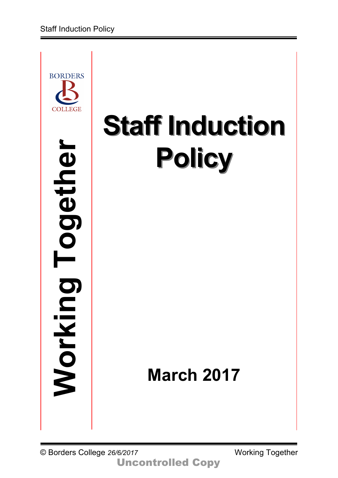

# **Staff Induction Policy**

# **March 2017**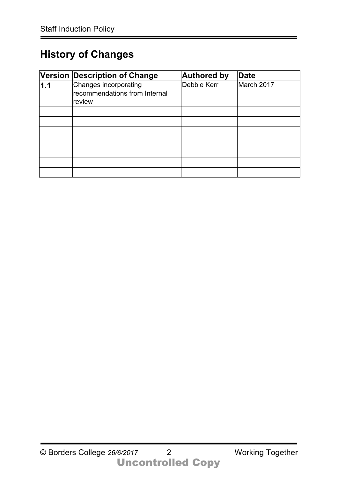# **History of Changes**

|     | Version Description of Change                                    | <b>Authored by</b> | <b>Date</b> |
|-----|------------------------------------------------------------------|--------------------|-------------|
| 1.1 | Changes incorporating<br>recommendations from Internal<br>review | Debbie Kerr        | March 2017  |
|     |                                                                  |                    |             |
|     |                                                                  |                    |             |
|     |                                                                  |                    |             |
|     |                                                                  |                    |             |
|     |                                                                  |                    |             |
|     |                                                                  |                    |             |
|     |                                                                  |                    |             |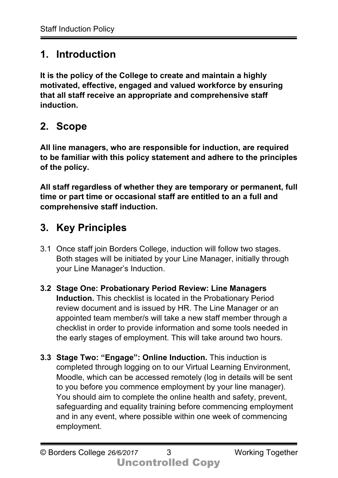#### **1. Introduction**

**It is the policy of the College to create and maintain a highly motivated, effective, engaged and valued workforce by ensuring that all staff receive an appropriate and comprehensive staff induction.**

# **2. Scope**

**All line managers, who are responsible for induction, are required to be familiar with this policy statement and adhere to the principles of the policy.** 

**All staff regardless of whether they are temporary or permanent, full time or part time or occasional staff are entitled to an a full and comprehensive staff induction.**

# **3. Key Principles**

- 3.1 Once staff join Borders College, induction will follow two stages. Both stages will be initiated by your Line Manager, initially through your Line Manager's Induction.
- **3.2 Stage One: Probationary Period Review: Line Managers Induction.** This checklist is located in the Probationary Period review document and is issued by HR. The Line Manager or an appointed team member/s will take a new staff member through a checklist in order to provide information and some tools needed in the early stages of employment. This will take around two hours.
- **3.3 Stage Two: "Engage": Online Induction.** This induction is completed through logging on to our Virtual Learning Environment, Moodle, which can be accessed remotely (log in details will be sent to you before you commence employment by your line manager). You should aim to complete the online health and safety, prevent, safeguarding and equality training before commencing employment and in any event, where possible within one week of commencing employment.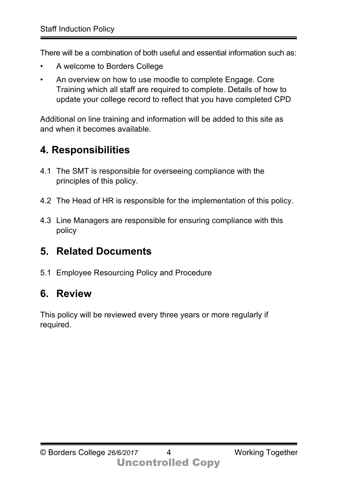There will be a combination of both useful and essential information such as:

- A welcome to Borders College
- An overview on how to use moodle to complete Engage. Core Training which all staff are required to complete. Details of how to update your college record to reflect that you have completed CPD

Additional on line training and information will be added to this site as and when it becomes available.

# **4. Responsibilities**

- 4.1 The SMT is responsible for overseeing compliance with the principles of this policy.
- 4.2 The Head of HR is responsible for the implementation of this policy.
- 4.3 Line Managers are responsible for ensuring compliance with this policy

# **5. Related Documents**

5.1 Employee Resourcing Policy and Procedure

# **6. Review**

This policy will be reviewed every three years or more regularly if required.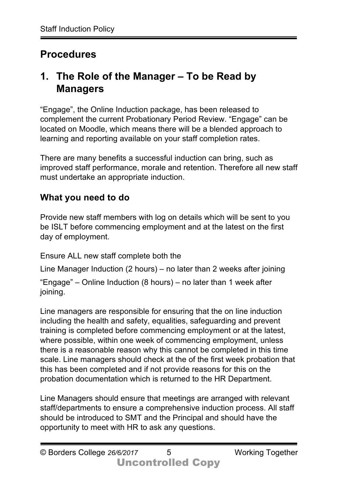# **Procedures**

#### **1. The Role of the Manager – To be Read by Managers**

"Engage", the Online Induction package, has been released to complement the current Probationary Period Review. "Engage" can be located on Moodle, which means there will be a blended approach to learning and reporting available on your staff completion rates.

There are many benefits a successful induction can bring, such as improved staff performance, morale and retention. Therefore all new staff must undertake an appropriate induction.

#### **What you need to do**

Provide new staff members with log on details which will be sent to you be ISLT before commencing employment and at the latest on the first day of employment.

Ensure ALL new staff complete both the

Line Manager Induction (2 hours) – no later than 2 weeks after joining "Engage" – Online Induction (8 hours) – no later than 1 week after joining.

Line managers are responsible for ensuring that the on line induction including the health and safety, equalities, safeguarding and prevent training is completed before commencing employment or at the latest, where possible, within one week of commencing employment, unless there is a reasonable reason why this cannot be completed in this time scale. Line managers should check at the of the first week probation that this has been completed and if not provide reasons for this on the probation documentation which is returned to the HR Department.

Line Managers should ensure that meetings are arranged with relevant staff/departments to ensure a comprehensive induction process. All staff should be introduced to SMT and the Principal and should have the opportunity to meet with HR to ask any questions.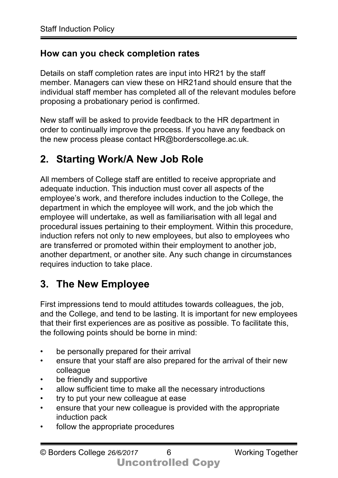#### **How can you check completion rates**

Details on staff completion rates are input into HR21 by the staff member. Managers can view these on HR21and should ensure that the individual staff member has completed all of the relevant modules before proposing a probationary period is confirmed.

New staff will be asked to provide feedback to the HR department in order to continually improve the process. If you have any feedback on the new process please contact HR@borderscollege.ac.uk.

# **2. Starting Work/A New Job Role**

All members of College staff are entitled to receive appropriate and adequate induction. This induction must cover all aspects of the employee's work, and therefore includes induction to the College, the department in which the employee will work, and the job which the employee will undertake, as well as familiarisation with all legal and procedural issues pertaining to their employment. Within this procedure, induction refers not only to new employees, but also to employees who are transferred or promoted within their employment to another job, another department, or another site. Any such change in circumstances requires induction to take place.

#### **3. The New Employee**

First impressions tend to mould attitudes towards colleagues, the job, and the College, and tend to be lasting. It is important for new employees that their first experiences are as positive as possible. To facilitate this, the following points should be borne in mind:

- be personally prepared for their arrival
- ensure that your staff are also prepared for the arrival of their new colleague
- be friendly and supportive
- allow sufficient time to make all the necessary introductions
- try to put your new colleague at ease
- ensure that your new colleague is provided with the appropriate induction pack
- follow the appropriate procedures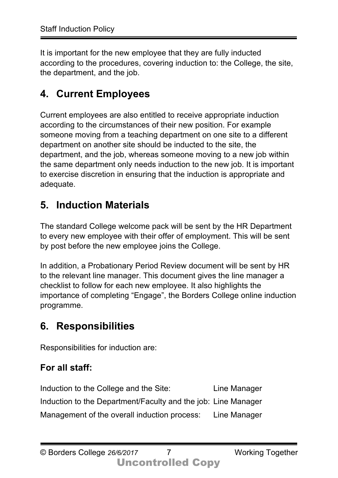It is important for the new employee that they are fully inducted according to the procedures, covering induction to: the College, the site, the department, and the job.

# **4. Current Employees**

Current employees are also entitled to receive appropriate induction according to the circumstances of their new position. For example someone moving from a teaching department on one site to a different department on another site should be inducted to the site, the department, and the job, whereas someone moving to a new job within the same department only needs induction to the new job. It is important to exercise discretion in ensuring that the induction is appropriate and adequate.

#### **5. Induction Materials**

The standard College welcome pack will be sent by the HR Department to every new employee with their offer of employment. This will be sent by post before the new employee joins the College.

In addition, a Probationary Period Review document will be sent by HR to the relevant line manager. This document gives the line manager a checklist to follow for each new employee. It also highlights the importance of completing "Engage", the Borders College online induction programme.

# **6. Responsibilities**

Responsibilities for induction are:

#### **For all staff:**

Induction to the College and the Site: Line Manager Induction to the Department/Faculty and the job: Line Manager Management of the overall induction process: Line Manager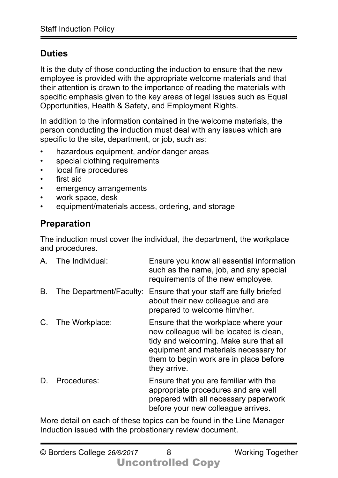#### **Duties**

It is the duty of those conducting the induction to ensure that the new employee is provided with the appropriate welcome materials and that their attention is drawn to the importance of reading the materials with specific emphasis given to the key areas of legal issues such as Equal Opportunities, Health & Safety, and Employment Rights.

In addition to the information contained in the welcome materials, the person conducting the induction must deal with any issues which are specific to the site, department, or job, such as:

- hazardous equipment, and/or danger areas
- special clothing requirements
- local fire procedures
- first aid
- emergency arrangements
- work space, desk
- equipment/materials access, ordering, and storage

#### **Preparation**

The induction must cover the individual, the department, the workplace and procedures.

| $A_{\cdot}$ | The Individual: | Ensure you know all essential information<br>such as the name, job, and any special<br>requirements of the new employee.                                                                                                     |
|-------------|-----------------|------------------------------------------------------------------------------------------------------------------------------------------------------------------------------------------------------------------------------|
| Β.          |                 | The Department/Faculty: Ensure that your staff are fully briefed<br>about their new colleague and are<br>prepared to welcome him/her.                                                                                        |
| C.          | The Workplace:  | Ensure that the workplace where your<br>new colleague will be located is clean,<br>tidy and welcoming. Make sure that all<br>equipment and materials necessary for<br>them to begin work are in place before<br>they arrive. |
|             | Procedures:     | Ensure that you are familiar with the<br>appropriate procedures and are well<br>prepared with all necessary paperwork<br>before your new colleague arrives.                                                                  |

More detail on each of these topics can be found in the Line Manager Induction issued with the probationary review document.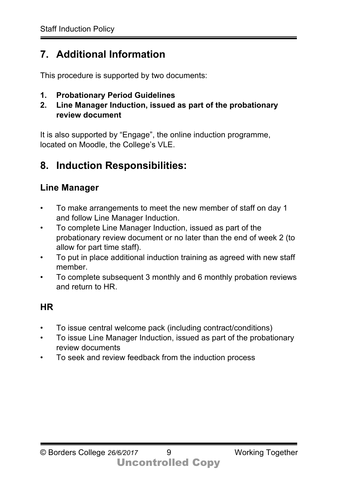# **7. Additional Information**

This procedure is supported by two documents:

- **1. Probationary Period Guidelines**
- **2. Line Manager Induction, issued as part of the probationary review document**

It is also supported by "Engage", the online induction programme, located on Moodle, the College's VLE.

# **8. Induction Responsibilities:**

#### **Line Manager**

- To make arrangements to meet the new member of staff on day 1 and follow Line Manager Induction.
- To complete Line Manager Induction, issued as part of the probationary review document or no later than the end of week 2 (to allow for part time staff).
- To put in place additional induction training as agreed with new staff member.
- To complete subsequent 3 monthly and 6 monthly probation reviews and return to HR.

#### **HR**

- To issue central welcome pack (including contract/conditions)
- To issue Line Manager Induction, issued as part of the probationary review documents
- To seek and review feedback from the induction process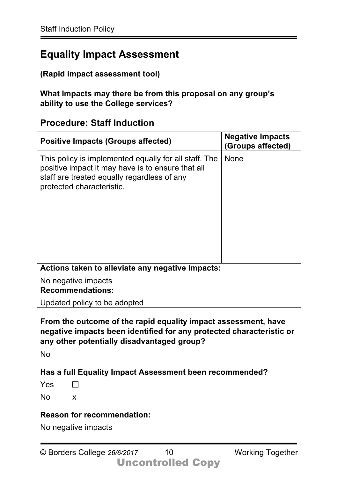#### **Equality Impact Assessment**

#### **(Rapid impact assessment tool)**

**What Impacts may there be from this proposal on any group's ability to use the College services?**

#### **Procedure: Staff Induction**

| <b>Positive Impacts (Groups affected)</b>                                                                                                                                              | <b>Negative Impacts</b><br>(Groups affected) |  |  |  |
|----------------------------------------------------------------------------------------------------------------------------------------------------------------------------------------|----------------------------------------------|--|--|--|
| This policy is implemented equally for all staff. The<br>positive impact it may have is to ensure that all<br>staff are treated equally regardless of any<br>protected characteristic. | <b>None</b>                                  |  |  |  |
| Actions taken to alleviate any negative Impacts:                                                                                                                                       |                                              |  |  |  |
| No negative impacts                                                                                                                                                                    |                                              |  |  |  |
| <b>Recommendations:</b>                                                                                                                                                                |                                              |  |  |  |
| Updated policy to be adopted                                                                                                                                                           |                                              |  |  |  |

**From the outcome of the rapid equality impact assessment, have negative impacts been identified for any protected characteristic or any other potentially disadvantaged group?** 

No

**Has a full Equality Impact Assessment been recommended?** 

Yes  $\Box$ 

No x

#### **Reason for recommendation:**

No negative impacts